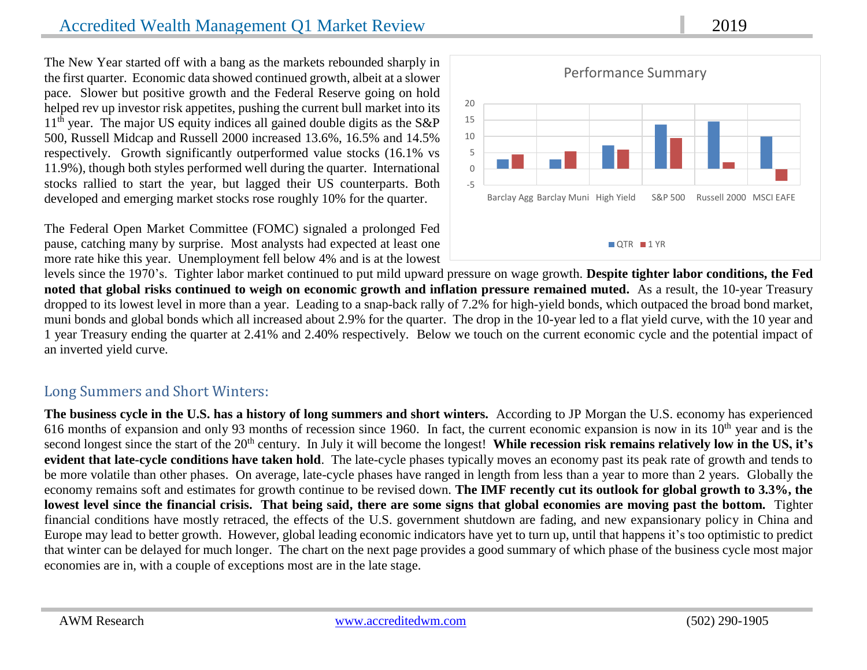## Accredited Wealth Management Q1 Market Review 2019

The New Year started off with a bang as the markets rebounded sharply in the first quarter. Economic data showed continued growth, albeit at a slower pace. Slower but positive growth and the Federal Reserve going on hold helped rev up investor risk appetites, pushing the current bull market into its  $11<sup>th</sup>$  year. The major US equity indices all gained double digits as the S&P 500, Russell Midcap and Russell 2000 increased 13.6%, 16.5% and 14.5% respectively. Growth significantly outperformed value stocks (16.1% vs 11.9%), though both styles performed well during the quarter. International stocks rallied to start the year, but lagged their US counterparts. Both developed and emerging market stocks rose roughly 10% for the quarter.

The Federal Open Market Committee (FOMC) signaled a prolonged Fed pause, catching many by surprise. Most analysts had expected at least one more rate hike this year. Unemployment fell below 4% and is at the lowest



levels since the 1970's. Tighter labor market continued to put mild upward pressure on wage growth. **Despite tighter labor conditions, the Fed noted that global risks continued to weigh on economic growth and inflation pressure remained muted.** As a result, the 10-year Treasury dropped to its lowest level in more than a year. Leading to a snap-back rally of 7.2% for high-yield bonds, which outpaced the broad bond market, muni bonds and global bonds which all increased about 2.9% for the quarter. The drop in the 10-year led to a flat yield curve, with the 10 year and 1 year Treasury ending the quarter at 2.41% and 2.40% respectively. Below we touch on the current economic cycle and the potential impact of an inverted yield curve.

## Long Summers and Short Winters:

**The business cycle in the U.S. has a history of long summers and short winters.** According to JP Morgan the U.S. economy has experienced 616 months of expansion and only 93 months of recession since 1960. In fact, the current economic expansion is now in its  $10<sup>th</sup>$  year and is the second longest since the start of the 20<sup>th</sup> century. In July it will become the longest! While recession risk remains relatively low in the US, it's **evident that late-cycle conditions have taken hold**. The late-cycle phases typically moves an economy past its peak rate of growth and tends to be more volatile than other phases. On average, late-cycle phases have ranged in length from less than a year to more than 2 years. Globally the economy remains soft and estimates for growth continue to be revised down. **The IMF recently cut its outlook for global growth to 3.3%, the lowest level since the financial crisis. That being said, there are some signs that global economies are moving past the bottom.** Tighter financial conditions have mostly retraced, the effects of the U.S. government shutdown are fading, and new expansionary policy in China and Europe may lead to better growth. However, global leading economic indicators have yet to turn up, until that happens it's too optimistic to predict that winter can be delayed for much longer. The chart on the next page provides a good summary of which phase of the business cycle most major economies are in, with a couple of exceptions most are in the late stage.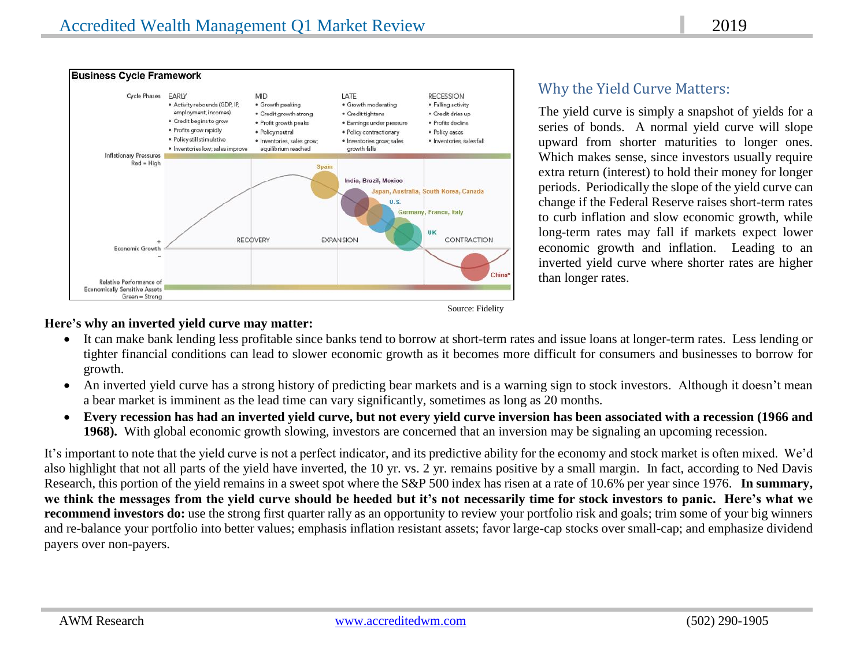

## Why the Yield Curve Matters:

The yield curve is simply a snapshot of yields for a series of bonds. A normal yield curve will slope upward from shorter maturities to longer ones. Which makes sense, since investors usually require extra return (interest) to hold their money for longer periods. Periodically the slope of the yield curve can change if the Federal Reserve raises short-term rates to curb inflation and slow economic growth, while long-term rates may fall if markets expect lower economic growth and inflation. Leading to an inverted yield curve where shorter rates are higher than longer rates.

### **Here's why an inverted yield curve may matter:**

- It can make bank lending less profitable since banks tend to borrow at short-term rates and issue loans at longer-term rates. Less lending or tighter financial conditions can lead to slower economic growth as it becomes more difficult for consumers and businesses to borrow for growth.
- An inverted yield curve has a strong history of predicting bear markets and is a warning sign to stock investors. Although it doesn't mean a bear market is imminent as the lead time can vary significantly, sometimes as long as 20 months.
- **Every recession has had an inverted yield curve, but not every yield curve inversion has been associated with a recession (1966 and 1968).** With global economic growth slowing, investors are concerned that an inversion may be signaling an upcoming recession.

It's important to note that the yield curve is not a perfect indicator, and its predictive ability for the economy and stock market is often mixed. We'd also highlight that not all parts of the yield have inverted, the 10 yr. vs. 2 yr. remains positive by a small margin. In fact, according to Ned Davis Research, this portion of the yield remains in a sweet spot where the S&P 500 index has risen at a rate of 10.6% per year since 1976. **In summary, we think the messages from the yield curve should be heeded but it's not necessarily time for stock investors to panic. Here's what we recommend investors do:** use the strong first quarter rally as an opportunity to review your portfolio risk and goals; trim some of your big winners and re-balance your portfolio into better values; emphasis inflation resistant assets; favor large-cap stocks over small-cap; and emphasize dividend payers over non-payers.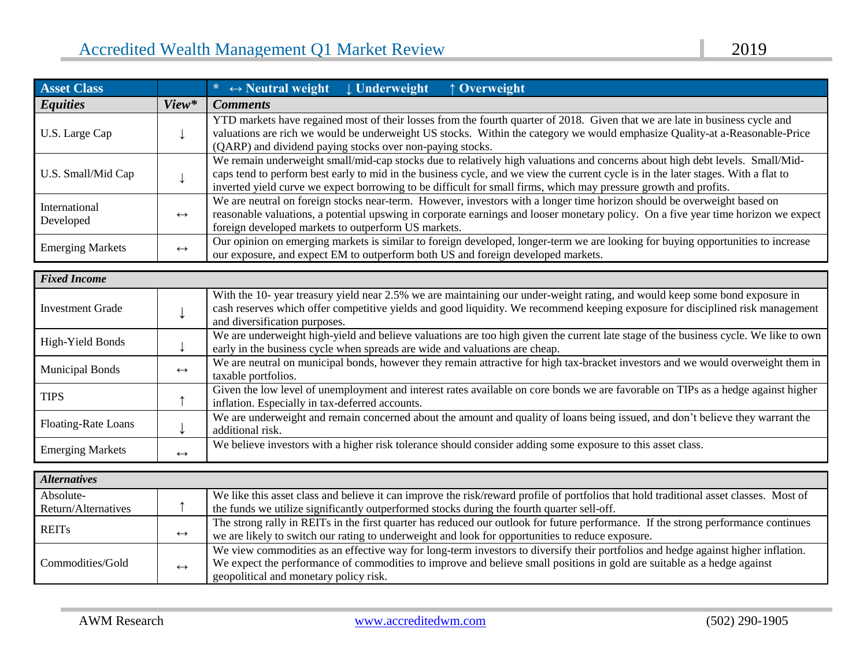| <b>Asset Class</b>               |                   | * $\leftrightarrow$ Neutral weight $\downarrow$ Underweight<br>↑ Overweight                                                                                                                                                                                                                                                                                                            |  |  |
|----------------------------------|-------------------|----------------------------------------------------------------------------------------------------------------------------------------------------------------------------------------------------------------------------------------------------------------------------------------------------------------------------------------------------------------------------------------|--|--|
| <b>Equities</b>                  | View*             | <b>Comments</b>                                                                                                                                                                                                                                                                                                                                                                        |  |  |
| U.S. Large Cap                   | ↓                 | YTD markets have regained most of their losses from the fourth quarter of 2018. Given that we are late in business cycle and<br>valuations are rich we would be underweight US stocks. Within the category we would emphasize Quality-at a-Reasonable-Price<br>(QARP) and dividend paying stocks over non-paying stocks.                                                               |  |  |
| U.S. Small/Mid Cap               | $\downarrow$      | We remain underweight small/mid-cap stocks due to relatively high valuations and concerns about high debt levels. Small/Mid-<br>caps tend to perform best early to mid in the business cycle, and we view the current cycle is in the later stages. With a flat to<br>inverted yield curve we expect borrowing to be difficult for small firms, which may pressure growth and profits. |  |  |
| International<br>Developed       | $\leftrightarrow$ | We are neutral on foreign stocks near-term. However, investors with a longer time horizon should be overweight based on<br>reasonable valuations, a potential upswing in corporate earnings and looser monetary policy. On a five year time horizon we expect<br>foreign developed markets to outperform US markets.                                                                   |  |  |
| <b>Emerging Markets</b>          | $\leftrightarrow$ | Our opinion on emerging markets is similar to foreign developed, longer-term we are looking for buying opportunities to increase<br>our exposure, and expect EM to outperform both US and foreign developed markets.                                                                                                                                                                   |  |  |
| <b>Fixed Income</b>              |                   |                                                                                                                                                                                                                                                                                                                                                                                        |  |  |
| <b>Investment Grade</b>          | ↓                 | With the 10- year treasury yield near 2.5% we are maintaining our under-weight rating, and would keep some bond exposure in<br>cash reserves which offer competitive yields and good liquidity. We recommend keeping exposure for disciplined risk management<br>and diversification purposes.                                                                                         |  |  |
| <b>High-Yield Bonds</b>          | $\downarrow$      | We are underweight high-yield and believe valuations are too high given the current late stage of the business cycle. We like to own<br>early in the business cycle when spreads are wide and valuations are cheap.                                                                                                                                                                    |  |  |
| <b>Municipal Bonds</b>           | $\leftrightarrow$ | We are neutral on municipal bonds, however they remain attractive for high tax-bracket investors and we would overweight them in<br>taxable portfolios.                                                                                                                                                                                                                                |  |  |
| <b>TIPS</b>                      | $\uparrow$        | Given the low level of unemployment and interest rates available on core bonds we are favorable on TIPs as a hedge against higher<br>inflation. Especially in tax-deferred accounts.                                                                                                                                                                                                   |  |  |
| Floating-Rate Loans              | ↓                 | We are underweight and remain concerned about the amount and quality of loans being issued, and don't believe they warrant the<br>additional risk.                                                                                                                                                                                                                                     |  |  |
| <b>Emerging Markets</b>          | $\leftrightarrow$ | We believe investors with a higher risk tolerance should consider adding some exposure to this asset class.                                                                                                                                                                                                                                                                            |  |  |
| <b>Alternatives</b>              |                   |                                                                                                                                                                                                                                                                                                                                                                                        |  |  |
| Absolute-<br>Return/Alternatives | $\uparrow$        | We like this asset class and believe it can improve the risk/reward profile of portfolios that hold traditional asset classes. Most of<br>the funds we utilize significantly outperformed stocks during the fourth quarter sell-off.                                                                                                                                                   |  |  |
| <b>REITs</b>                     | $\leftrightarrow$ | The strong rally in REITs in the first quarter has reduced our outlook for future performance. If the strong performance continues<br>we are likely to switch our rating to underweight and look for opportunities to reduce exposure.                                                                                                                                                 |  |  |
| Commodities/Gold                 | $\leftrightarrow$ | We view commodities as an effective way for long-term investors to diversify their portfolios and hedge against higher inflation.<br>We expect the performance of commodities to improve and believe small positions in gold are suitable as a hedge against<br>geopolitical and monetary policy risk.                                                                                 |  |  |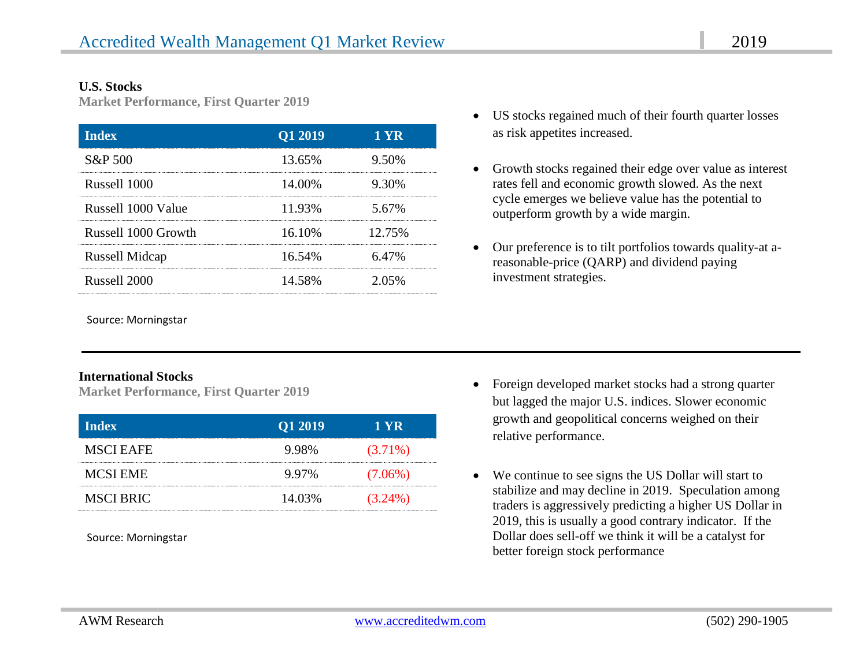#### **U.S. Stocks**

**Market Performance, First Quarter 2019**

| <b>Index</b>          | Q1 2019 | 1 YR   |
|-----------------------|---------|--------|
| S&P 500               | 13.65%  | 9.50%  |
| Russell 1000          | 14.00%  | 9.30%  |
| Russell 1000 Value    | 11.93%  | 5.67%  |
| Russell 1000 Growth   | 16.10%  | 12.75% |
| <b>Russell Midcap</b> | 16.54%  | 6.47%  |
| Russell 2000          | 14.58%  | 2.05%  |

Source: Morningstar

#### **International Stocks**

**Market Performance, First Quarter 2019**

| <b>Index</b>     | Q1 2019 | 1 YR       |
|------------------|---------|------------|
| <b>MSCI EAFE</b> | 9.98%   | $(3.71\%)$ |
| <b>MCSI EME</b>  | 9.97%   | $(7.06\%)$ |
| <b>MSCI BRIC</b> | 14.03%  | $(3.24\%)$ |

Source: Morningstar

- US stocks regained much of their fourth quarter losses as risk appetites increased.
- Growth stocks regained their edge over value as interest rates fell and economic growth slowed. As the next cycle emerges we believe value has the potential to outperform growth by a wide margin.
- Our preference is to tilt portfolios towards quality-at areasonable-price (QARP) and dividend paying investment strategies.

- Foreign developed market stocks had a strong quarter but lagged the major U.S. indices. Slower economic growth and geopolitical concerns weighed on their relative performance.
- We continue to see signs the US Dollar will start to stabilize and may decline in 2019. Speculation among traders is aggressively predicting a higher US Dollar in 2019, this is usually a good contrary indicator. If the Dollar does sell-off we think it will be a catalyst for better foreign stock performance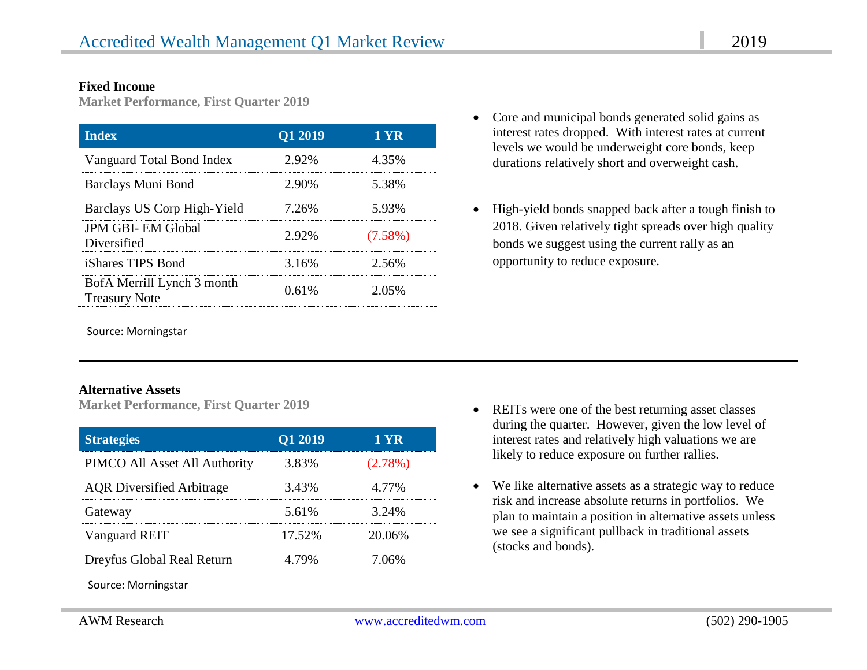#### **Fixed Income**

**Market Performance, First Quarter 2019**

| <b>Index</b>                                       | Q1 2019 | 1 YR       |
|----------------------------------------------------|---------|------------|
| Vanguard Total Bond Index                          | 2.92%   | 4.35%      |
| Barclays Muni Bond                                 | 2.90%   | 5.38%      |
| Barclays US Corp High-Yield                        | 7.26%   | 5.93%      |
| <b>JPM GBI-EM Global</b><br>Diversified            | 2.92%   | $(7.58\%)$ |
| <i>iShares TIPS Bond</i>                           | 3.16%   | 2.56%      |
| BofA Merrill Lynch 3 month<br><b>Treasury Note</b> | 0.61%   | 2.05%      |

Source: Morningstar

#### **Alternative Assets**

**Market Performance, First Quarter 2019**

| <b>Strategies</b>                | Q1 2019 | 1 YR       |
|----------------------------------|---------|------------|
| PIMCO All Asset All Authority    | 3.83%   | $(2.78\%)$ |
| <b>AQR</b> Diversified Arbitrage | 3.43%   | 4.77%      |
| Gateway                          | 5.61%   | 3.24%      |
| Vanguard REIT                    | 17.52%  | 20.06%     |
| Dreyfus Global Real Return       | 4.79%   | 7.06%      |

Source: Morningstar

- Core and municipal bonds generated solid gains as interest rates dropped. With interest rates at current levels we would be underweight core bonds, keep durations relatively short and overweight cash.
- High-yield bonds snapped back after a tough finish to 2018. Given relatively tight spreads over high quality bonds we suggest using the current rally as an opportunity to reduce exposure.

- REITs were one of the best returning asset classes during the quarter. However, given the low level of interest rates and relatively high valuations we are likely to reduce exposure on further rallies.
- We like alternative assets as a strategic way to reduce risk and increase absolute returns in portfolios. We plan to maintain a position in alternative assets unless we see a significant pullback in traditional assets (stocks and bonds).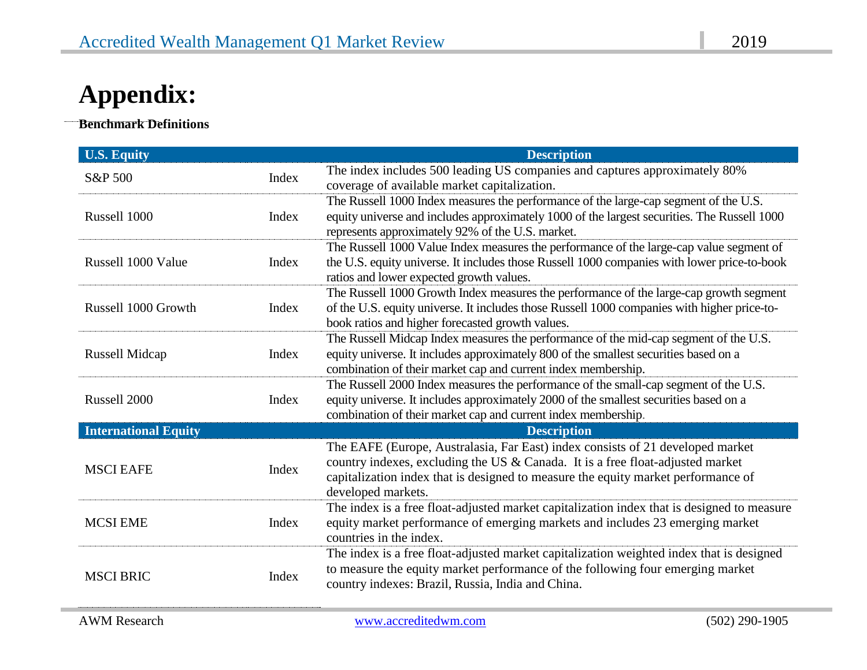# **Appendix:**

**Benchmark Definitions**

 $\ddot{\phantom{0}}$ 

| <b>U.S. Equity</b>          |       | <b>Description</b>                                                                                                                                                                                                                                                          |
|-----------------------------|-------|-----------------------------------------------------------------------------------------------------------------------------------------------------------------------------------------------------------------------------------------------------------------------------|
| S&P 500                     | Index | The index includes 500 leading US companies and captures approximately 80%<br>coverage of available market capitalization.                                                                                                                                                  |
| Russell 1000                | Index | The Russell 1000 Index measures the performance of the large-cap segment of the U.S.<br>equity universe and includes approximately 1000 of the largest securities. The Russell 1000<br>represents approximately 92% of the U.S. market.                                     |
| Russell 1000 Value          | Index | The Russell 1000 Value Index measures the performance of the large-cap value segment of<br>the U.S. equity universe. It includes those Russell 1000 companies with lower price-to-book<br>ratios and lower expected growth values.                                          |
| Russell 1000 Growth         | Index | The Russell 1000 Growth Index measures the performance of the large-cap growth segment<br>of the U.S. equity universe. It includes those Russell 1000 companies with higher price-to-<br>book ratios and higher forecasted growth values.                                   |
| Russell Midcap              | Index | The Russell Midcap Index measures the performance of the mid-cap segment of the U.S.<br>equity universe. It includes approximately 800 of the smallest securities based on a<br>combination of their market cap and current index membership.                               |
| Russell 2000                | Index | The Russell 2000 Index measures the performance of the small-cap segment of the U.S.<br>equity universe. It includes approximately 2000 of the smallest securities based on a<br>combination of their market cap and current index membership.                              |
| <b>International Equity</b> |       | <b>Description</b>                                                                                                                                                                                                                                                          |
| <b>MSCI EAFE</b>            | Index | The EAFE (Europe, Australasia, Far East) index consists of 21 developed market<br>country indexes, excluding the US & Canada. It is a free float-adjusted market<br>capitalization index that is designed to measure the equity market performance of<br>developed markets. |
| <b>MCSI EME</b>             | Index | The index is a free float-adjusted market capitalization index that is designed to measure<br>equity market performance of emerging markets and includes 23 emerging market<br>countries in the index.                                                                      |
| <b>MSCI BRIC</b>            | Index | The index is a free float-adjusted market capitalization weighted index that is designed<br>to measure the equity market performance of the following four emerging market<br>country indexes: Brazil, Russia, India and China.                                             |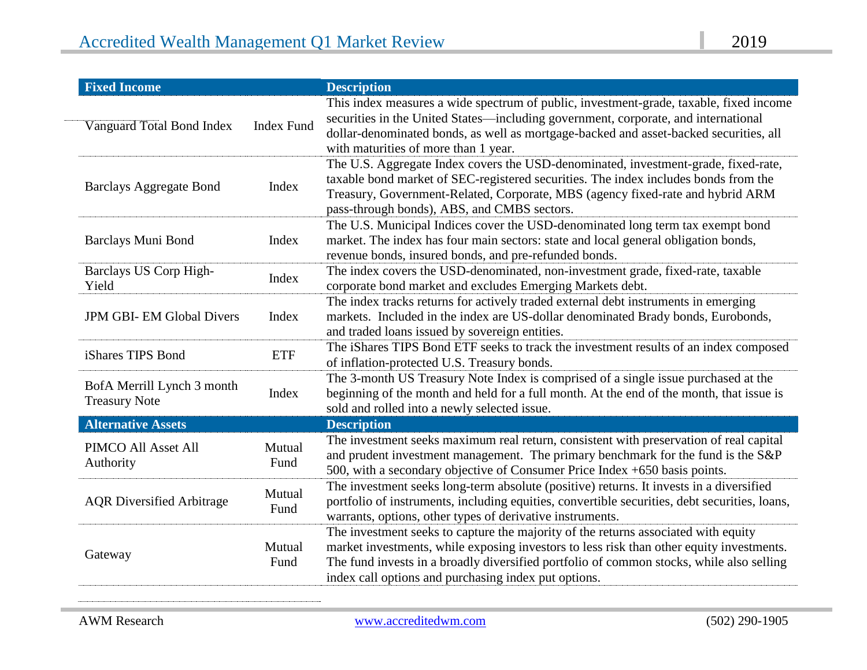| <b>Fixed Income</b>                                |                   | <b>Description</b>                                                                                                                                                                                                                                                                                                                 |
|----------------------------------------------------|-------------------|------------------------------------------------------------------------------------------------------------------------------------------------------------------------------------------------------------------------------------------------------------------------------------------------------------------------------------|
| Vanguard Total Bond Index                          | <b>Index Fund</b> | This index measures a wide spectrum of public, investment-grade, taxable, fixed income<br>securities in the United States—including government, corporate, and international<br>dollar-denominated bonds, as well as mortgage-backed and asset-backed securities, all<br>with maturities of more than 1 year.                      |
| <b>Barclays Aggregate Bond</b>                     | Index             | The U.S. Aggregate Index covers the USD-denominated, investment-grade, fixed-rate,<br>taxable bond market of SEC-registered securities. The index includes bonds from the<br>Treasury, Government-Related, Corporate, MBS (agency fixed-rate and hybrid ARM<br>pass-through bonds), ABS, and CMBS sectors.                         |
| Barclays Muni Bond                                 | Index             | The U.S. Municipal Indices cover the USD-denominated long term tax exempt bond<br>market. The index has four main sectors: state and local general obligation bonds,<br>revenue bonds, insured bonds, and pre-refunded bonds.                                                                                                      |
| Barclays US Corp High-<br>Yield                    | Index             | The index covers the USD-denominated, non-investment grade, fixed-rate, taxable<br>corporate bond market and excludes Emerging Markets debt.                                                                                                                                                                                       |
| <b>JPM GBI-EM Global Divers</b>                    | Index             | The index tracks returns for actively traded external debt instruments in emerging<br>markets. Included in the index are US-dollar denominated Brady bonds, Eurobonds,<br>and traded loans issued by sovereign entities.                                                                                                           |
| iShares TIPS Bond                                  | <b>ETF</b>        | The iShares TIPS Bond ETF seeks to track the investment results of an index composed<br>of inflation-protected U.S. Treasury bonds.                                                                                                                                                                                                |
| BofA Merrill Lynch 3 month<br><b>Treasury Note</b> | Index             | The 3-month US Treasury Note Index is comprised of a single issue purchased at the<br>beginning of the month and held for a full month. At the end of the month, that issue is<br>sold and rolled into a newly selected issue.                                                                                                     |
| <b>Alternative Assets</b>                          |                   | <b>Description</b>                                                                                                                                                                                                                                                                                                                 |
| PIMCO All Asset All<br>Authority                   | Mutual<br>Fund    | The investment seeks maximum real return, consistent with preservation of real capital<br>and prudent investment management. The primary benchmark for the fund is the S&P<br>500, with a secondary objective of Consumer Price Index +650 basis points.                                                                           |
| <b>AQR</b> Diversified Arbitrage                   | Mutual<br>Fund    | The investment seeks long-term absolute (positive) returns. It invests in a diversified<br>portfolio of instruments, including equities, convertible securities, debt securities, loans,<br>warrants, options, other types of derivative instruments.                                                                              |
| Gateway                                            | Mutual<br>Fund    | The investment seeks to capture the majority of the returns associated with equity<br>market investments, while exposing investors to less risk than other equity investments.<br>The fund invests in a broadly diversified portfolio of common stocks, while also selling<br>index call options and purchasing index put options. |